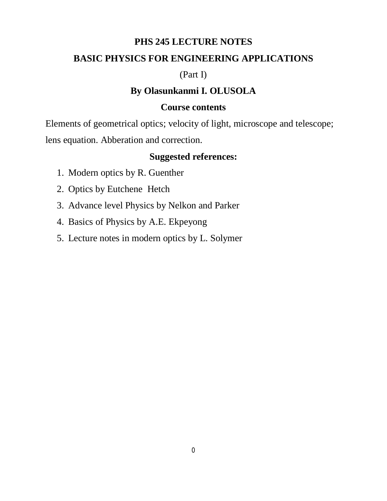### **PHS 245 LECTURE NOTES**

## **BASIC PHYSICS FOR ENGINEERING APPLICATIONS**

## (Part I)

# **By Olasunkanmi I. OLUSOLA**

## **Course contents**

Elements of geometrical optics; velocity of light, microscope and telescope;

lens equation. Abberation and correction.

## **Suggested references:**

- 1. Modern optics by R. Guenther
- 2. Optics by Eutchene Hetch
- 3. Advance level Physics by Nelkon and Parker
- 4. Basics of Physics by A.E. Ekpeyong
- 5. Lecture notes in modern optics by L. Solymer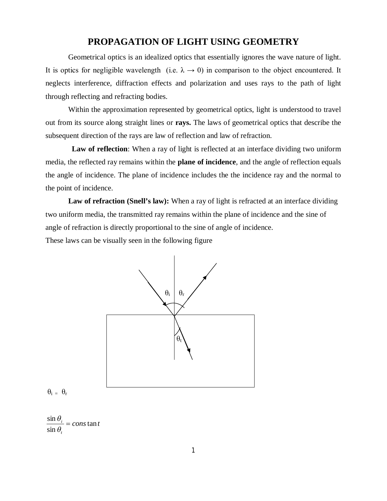### **PROPAGATION OF LIGHT USING GEOMETRY**

Geometrical optics is an idealized optics that essentially ignores the wave nature of light. It is optics for negligible wavelength (i.e.  $\lambda \rightarrow 0$ ) in comparison to the object encountered. It neglects interference, diffraction effects and polarization and uses rays to the path of light through reflecting and refracting bodies.

Within the approximation represented by geometrical optics, light is understood to travel out from its source along straight lines or **rays.** The laws of geometrical optics that describe the subsequent direction of the rays are law of reflection and law of refraction.

**Law of reflection**: When a ray of light is reflected at an interface dividing two uniform media, the reflected ray remains within the **plane of incidence**, and the angle of reflection equals the angle of incidence. The plane of incidence includes the the incidence ray and the normal to the point of incidence.

Law of refraction (Snell's law): When a ray of light is refracted at an interface dividing two uniform media, the transmitted ray remains within the plane of incidence and the sine of angle of refraction is directly proportional to the sine of angle of incidence.

These laws can be visually seen in the following figure



 $\theta_i = \theta_r$ 

 $\frac{\sin \theta_i}{\sin \theta_i} = const \tan t$  $\sin \theta_t$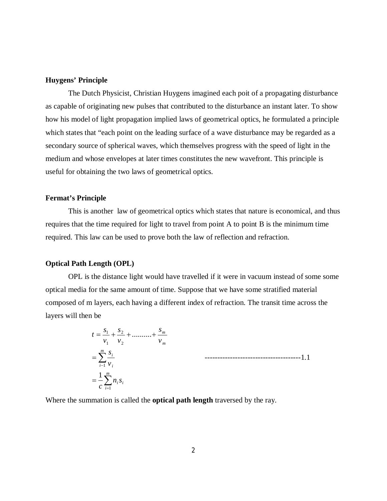### **Huygens' Principle**

The Dutch Physicist, Christian Huygens imagined each poit of a propagating disturbance as capable of originating new pulses that contributed to the disturbance an instant later. To show how his model of light propagation implied laws of geometrical optics, he formulated a principle which states that "each point on the leading surface of a wave disturbance may be regarded as a secondary source of spherical waves, which themselves progress with the speed of light in the medium and whose envelopes at later times constitutes the new wavefront. This principle is useful for obtaining the two laws of geometrical optics.

### **Fermat's Principle**

This is another law of geometrical optics which states that nature is economical, and thus requires that the time required for light to travel from point A to point B is the minimum time required. This law can be used to prove both the law of reflection and refraction.

#### **Optical Path Length (OPL)**

OPL is the distance light would have travelled if it were in vacuum instead of some some optical media for the same amount of time. Suppose that we have some stratified material composed of m layers, each having a different index of refraction. The transit time across the layers will then be

> $=\frac{1}{c}\sum$  $\sum_{i-1}$  $=$  $=$  $=\frac{61}{1}+\frac{62}{1}+...+$ *m i*  $n_i s_i$ *m*  $i-1 \n\begin{bmatrix} i \\ i \end{bmatrix}$ *i m m c v s v s v s v*  $t = \frac{s}{t}$ 1 1 2 2 1  $\frac{1}{2} + \frac{32}{2} + \dots$ 1 --------------------------------------1.1

Where the summation is called the **optical path length** traversed by the ray.